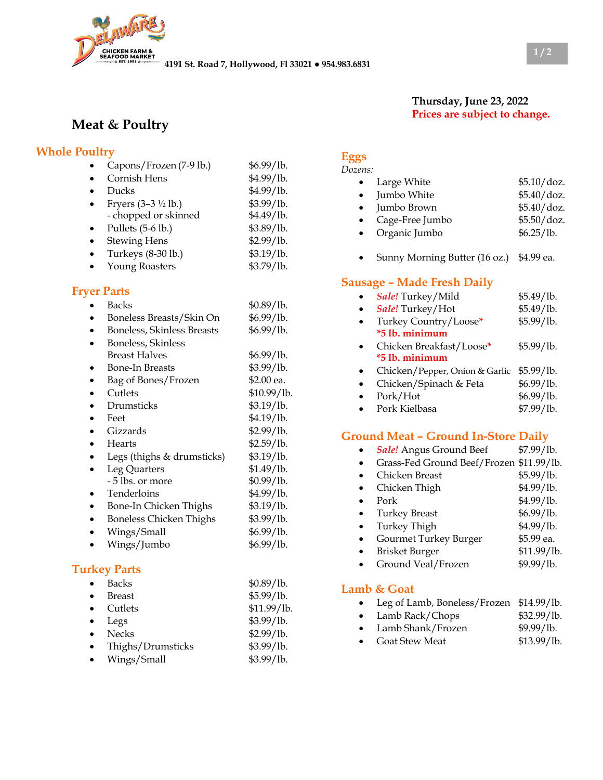

# **Meat & Poultry**

#### **Whole Poultry**

| Capons/Frozen (7-9 lb.)           | \$6.99/lb. |
|-----------------------------------|------------|
| Cornish Hens                      | \$4.99/lb. |
| Ducks                             | \$4.99/lb. |
| Fryers $(3-3 \frac{1}{2} \,$ lb.) | \$3.99/1b. |
| - chopped or skinned              | \$4.49/lb. |
| Pullets (5-6 lb.)                 | \$3.89/lb. |
| <b>Stewing Hens</b>               | \$2.99/1b. |
| Turkeys (8-30 lb.)                | \$3.19/lb. |
| Young Roasters                    | \$3.79/lb. |

#### **Fryer Parts**

| Backs                             | \$0.89/lb.  |
|-----------------------------------|-------------|
| Boneless Breasts/Skin On          | \$6.99/lb.  |
| <b>Boneless, Skinless Breasts</b> | \$6.99/lb.  |
| Boneless, Skinless                |             |
| Breast Halves                     | \$6.99/lb.  |
| Bone-In Breasts                   | \$3.99/lb.  |
| Bag of Bones/Frozen               | \$2.00 ea.  |
| Cutlets                           | \$10.99/lb. |
| Drumsticks                        | \$3.19/lb.  |
| Feet                              | \$4.19/lb.  |
| Gizzards                          | \$2.99/lb.  |
| Hearts                            | \$2.59/lb.  |
| Legs (thighs & drumsticks)        | \$3.19/lb.  |
| Leg Quarters                      | \$1.49/lb.  |
| - 5 lbs. or more                  | \$0.99/lb.  |
| Tenderloins                       | \$4.99/lb.  |
| Bone-In Chicken Thighs            | \$3.19/lb.  |
| <b>Boneless Chicken Thighs</b>    | \$3.99/lb.  |
| Wings/Small                       | \$6.99/lb.  |
| Wings/Jumbo                       | \$6.99/lb.  |
|                                   |             |

# **Turkey Parts**

| <b>Backs</b>      | \$0.89/lb.  |
|-------------------|-------------|
| Breast            | \$5.99/lb.  |
| Cutlets           | \$11.99/lb. |
| Legs              | \$3.99/1b.  |
| <b>Necks</b>      | \$2.99/lb.  |
| Thighs/Drumsticks | \$3.99/lb.  |
| Wings/Small       | \$3.99/lb.  |
|                   |             |

## **Eggs**

| Dozens:   |                 |             |
|-----------|-----------------|-------------|
| $\bullet$ | Large White     | \$5.10/doz. |
| $\bullet$ | Jumbo White     | \$5.40/doz. |
| $\bullet$ | Jumbo Brown     | \$5.40/doz. |
| $\bullet$ | Cage-Free Jumbo | \$5.50/doz. |
| $\bullet$ | Organic Jumbo   | \$6.25/lb.  |
|           |                 |             |

**Thursday, June 23, 2022 Prices are subject to change.**

• Sunny Morning Butter (16 oz.) \$4.99 ea.

### **Sausage – Made Fresh Daily**

| Sale! Turkey/Mild                         | \$5.49/lb. |
|-------------------------------------------|------------|
| Sale! Turkey/Hot                          | \$5.49/lb. |
| Turkey Country/Loose*                     | \$5.99/1b. |
| *5 lb. minimum                            |            |
| Chicken Breakfast/Loose*                  | \$5.99/lb. |
| *5 lb. minimum                            |            |
| Chicken/Pepper, Onion & Garlic \$5.99/lb. |            |
| Chicken/Spinach & Feta                    | \$6.99/lb. |
| Pork/Hot                                  | \$6.99/lb. |
| Pork Kielbasa                             | \$7.99/1b. |

## **Ground Meat – Ground In-Store Daily**

| <b>Sale!</b> Angus Ground Beef           | \$7.99/lb.  |
|------------------------------------------|-------------|
| Grass-Fed Ground Beef/Frozen \$11.99/lb. |             |
| Chicken Breast                           | \$5.99/1b.  |
| Chicken Thigh                            | \$4.99/lb.  |
| Pork                                     | \$4.99/lb.  |
| <b>Turkey Breast</b>                     | \$6.99/lb.  |
| <b>Turkey Thigh</b>                      | \$4.99/lb.  |
| Gourmet Turkey Burger                    | \$5.99 ea.  |
| <b>Brisket Burger</b>                    | \$11.99/lb. |
| Ground Veal/Frozen                       | \$9.99/lb.  |
|                                          |             |

### **Lamb & Goat**

| Leg of Lamb, Boneless/Frozen \$14.99/lb. |             |
|------------------------------------------|-------------|
| Lamb Rack/Chops                          | \$32.99/lb. |

- Lamb Shank/Frozen \$9.99/lb.
- Goat Stew Meat \$13.99/lb.